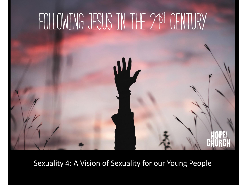

Sexuality 4: A Vision of Sexuality for our Young People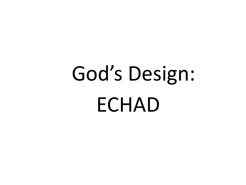# God's Design: ECHAD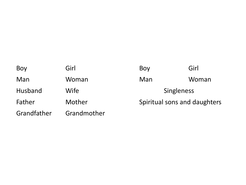| Boy         | Girl        | Boy                          | Girl  |
|-------------|-------------|------------------------------|-------|
| Man         | Woman       | Man                          | Woman |
| Husband     | Wife        | <b>Singleness</b>            |       |
| Father      | Mother      | Spiritual sons and daughters |       |
| Grandfather | Grandmother |                              |       |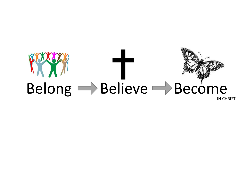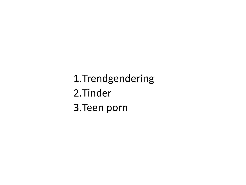1.Trendgendering 2.Tinder 3.Teen porn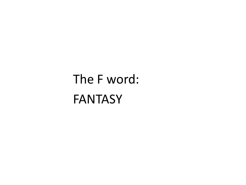### The F word: **FANTASY**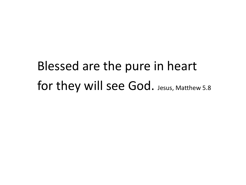### Blessed are the pure in heart for they will see God. Jesus, Matthew 5.8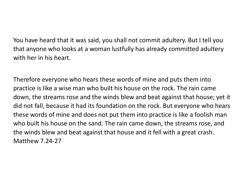You have heard that it was said, you shall not commit adultery. But I tell you that anyone who looks at a woman lustfully has already committed adultery with her in his heart.

Therefore everyone who hears these words of mine and puts them into practice is like a wise man who built his house on the rock. The rain came down, the streams rose and the winds blew and beat against that house; yet it did not fall, because it had its foundation on the rock. But everyone who hears these words of mine and does not put them into practice is like a foolish man who built his house on the sand. The rain came down, the streams rose, and the winds blew and beat against that house and it fell with a great crash. Matthew 7.24-27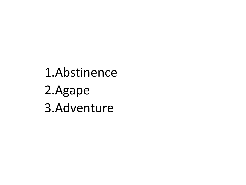#### 1.Abstinence 2.Agape 3.Adventure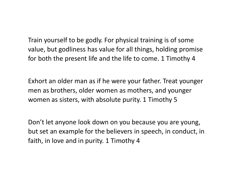Train yourself to be godly. For physical training is of some value, but godliness has value for all things, holding promise for both the present life and the life to come. 1 Timothy 4

Exhort an older man as if he were your father. Treat younger men as brothers, older women as mothers, and younger women as sisters, with absolute purity. 1 Timothy 5

Don't let anyone look down on you because you are young, but set an example for the believers in speech, in conduct, in faith, in love and in purity. 1 Timothy 4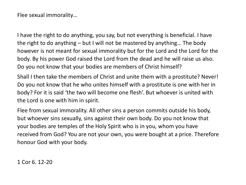Flee sexual immorality…

I have the right to do anything, you say, but not everything is beneficial. I have the right to do anything – but I will not be mastered by anything… The body however is not meant for sexual immorality but for the Lord and the Lord for the body. By his power God raised the Lord from the dead and he will raise us also. Do you not know that your bodies are members of Christ himself?

Shall I then take the members of Christ and unite them with a prostitute? Never! Do you not know that he who unites himself with a prostitute is one with her in body? For it is said 'the two will become one flesh'. But whoever is united with the Lord is one with him in spirit.

Flee from sexual immorality. All other sins a person commits outside his body, but whoever sins sexually, sins against their own body. Do you not know that your bodies are temples of the Holy Spirit who is in you, whom you have received from God? You are not your own, you were bought at a price. Therefore honour God with your body.

1 Cor 6. 12-20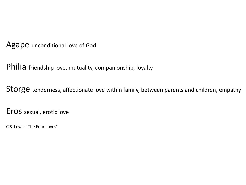Agape unconditional love of God

Philia friendship love, mutuality, companionship, loyalty

Storge tenderness, affectionate love within family, between parents and children, empathy

Eros sexual, erotic love

C.S. Lewis, 'The Four Loves'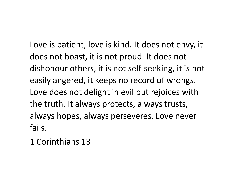Love is patient, love is kind. It does not envy, it does not boast, it is not proud. It does not dishonour others, it is not self-seeking, it is not easily angered, it keeps no record of wrongs. Love does not delight in evil but rejoices with the truth. It always protects, always trusts, always hopes, always perseveres. Love never fails.

1 Corinthians 13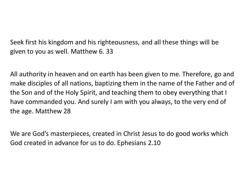Seek first his kingdom and his righteousness, and all these things will be given to you as well. Matthew 6. 33

All authority in heaven and on earth has been given to me. Therefore, go and make disciples of all nations, baptizing them in the name of the Father and of the Son and of the Holy Spirit, and teaching them to obey everything that I have commanded you. And surely I am with you always, to the very end of the age. Matthew 28

We are God's masterpieces, created in Christ Jesus to do good works which God created in advance for us to do. Ephesians 2.10